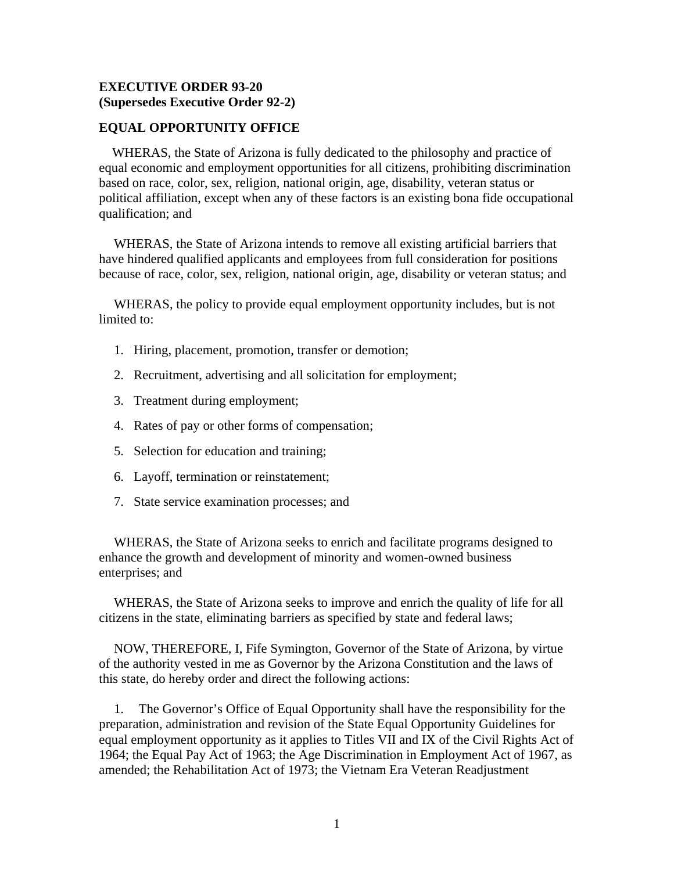## **EXECUTIVE ORDER 93-20 (Supersedes Executive Order 92-2)**

## **EQUAL OPPORTUNITY OFFICE**

 WHERAS, the State of Arizona is fully dedicated to the philosophy and practice of equal economic and employment opportunities for all citizens, prohibiting discrimination based on race, color, sex, religion, national origin, age, disability, veteran status or political affiliation, except when any of these factors is an existing bona fide occupational qualification; and

WHERAS, the State of Arizona intends to remove all existing artificial barriers that have hindered qualified applicants and employees from full consideration for positions because of race, color, sex, religion, national origin, age, disability or veteran status; and

WHERAS, the policy to provide equal employment opportunity includes, but is not limited to:

- 1. Hiring, placement, promotion, transfer or demotion;
- 2. Recruitment, advertising and all solicitation for employment;
- 3. Treatment during employment;
- 4. Rates of pay or other forms of compensation;
- 5. Selection for education and training;
- 6. Layoff, termination or reinstatement;
- 7. State service examination processes; and

WHERAS, the State of Arizona seeks to enrich and facilitate programs designed to enhance the growth and development of minority and women-owned business enterprises; and

WHERAS, the State of Arizona seeks to improve and enrich the quality of life for all citizens in the state, eliminating barriers as specified by state and federal laws;

NOW, THEREFORE, I, Fife Symington, Governor of the State of Arizona, by virtue of the authority vested in me as Governor by the Arizona Constitution and the laws of this state, do hereby order and direct the following actions:

1. The Governor's Office of Equal Opportunity shall have the responsibility for the preparation, administration and revision of the State Equal Opportunity Guidelines for equal employment opportunity as it applies to Titles VII and IX of the Civil Rights Act of 1964; the Equal Pay Act of 1963; the Age Discrimination in Employment Act of 1967, as amended; the Rehabilitation Act of 1973; the Vietnam Era Veteran Readjustment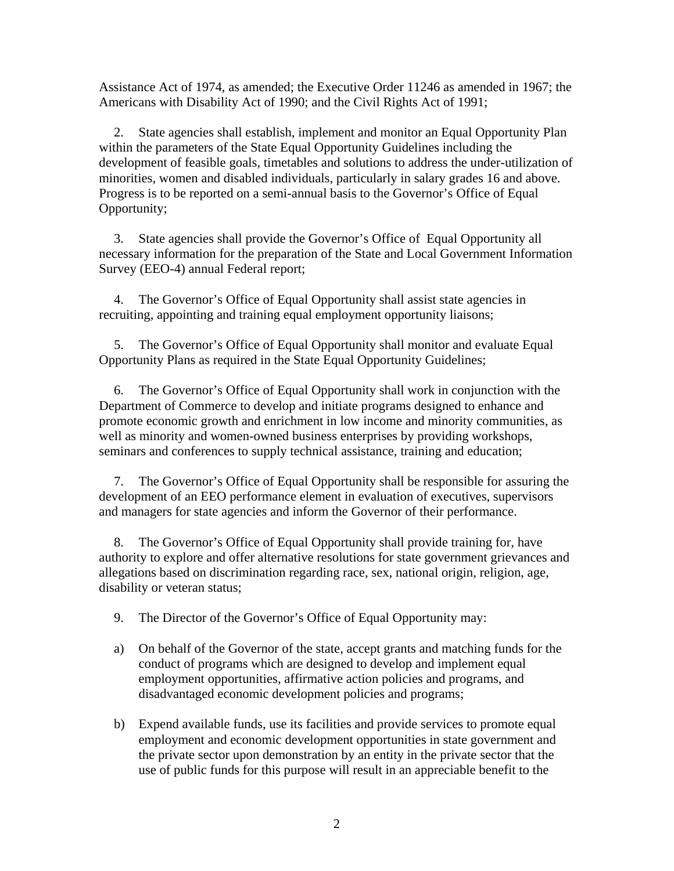Assistance Act of 1974, as amended; the Executive Order 11246 as amended in 1967; the Americans with Disability Act of 1990; and the Civil Rights Act of 1991;

2. State agencies shall establish, implement and monitor an Equal Opportunity Plan within the parameters of the State Equal Opportunity Guidelines including the development of feasible goals, timetables and solutions to address the under-utilization of minorities, women and disabled individuals, particularly in salary grades 16 and above. Progress is to be reported on a semi-annual basis to the Governor's Office of Equal Opportunity;

3. State agencies shall provide the Governor's Office of Equal Opportunity all necessary information for the preparation of the State and Local Government Information Survey (EEO-4) annual Federal report;

4. The Governor's Office of Equal Opportunity shall assist state agencies in recruiting, appointing and training equal employment opportunity liaisons;

5. The Governor's Office of Equal Opportunity shall monitor and evaluate Equal Opportunity Plans as required in the State Equal Opportunity Guidelines;

6. The Governor's Office of Equal Opportunity shall work in conjunction with the Department of Commerce to develop and initiate programs designed to enhance and promote economic growth and enrichment in low income and minority communities, as well as minority and women-owned business enterprises by providing workshops, seminars and conferences to supply technical assistance, training and education;

7. The Governor's Office of Equal Opportunity shall be responsible for assuring the development of an EEO performance element in evaluation of executives, supervisors and managers for state agencies and inform the Governor of their performance.

8. The Governor's Office of Equal Opportunity shall provide training for, have authority to explore and offer alternative resolutions for state government grievances and allegations based on discrimination regarding race, sex, national origin, religion, age, disability or veteran status;

9. The Director of the Governor's Office of Equal Opportunity may:

- a) On behalf of the Governor of the state, accept grants and matching funds for the conduct of programs which are designed to develop and implement equal employment opportunities, affirmative action policies and programs, and disadvantaged economic development policies and programs;
- b) Expend available funds, use its facilities and provide services to promote equal employment and economic development opportunities in state government and the private sector upon demonstration by an entity in the private sector that the use of public funds for this purpose will result in an appreciable benefit to the